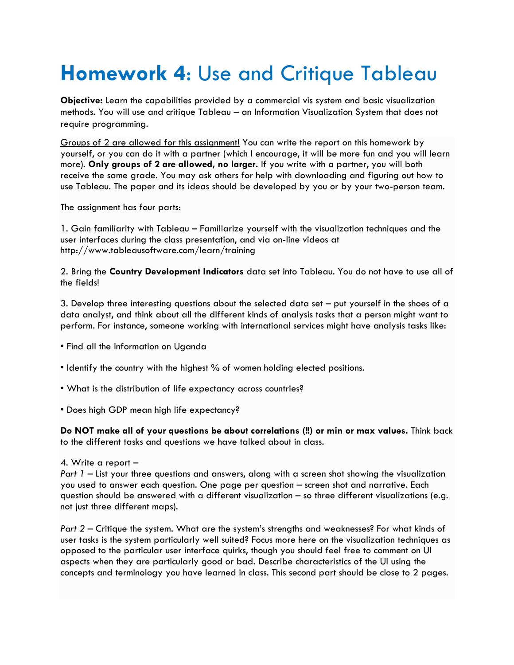## **Homework 4**: Use and Critique Tableau

**Objective:** Learn the capabilities provided by a commercial vis system and basic visualization methods. You will use and critique Tableau – an Information Visualization System that does not require programming.

Groups of 2 are allowed for this assignment! You can write the report on this homework by yourself, or you can do it with a partner (which I encourage, it will be more fun and you will learn more). **Only groups of 2 are allowed, no larger.** If you write with a partner, you will both receive the same grade. You may ask others for help with downloading and figuring out how to use Tableau. The paper and its ideas should be developed by you or by your two-person team.

The assignment has four parts:

1. Gain familiarity with Tableau – Familiarize yourself with the visualization techniques and the user interfaces during the class presentation, and via on-line videos at http://www.tableausoftware.com/learn/training

2. Bring the **Country Development Indicators** data set into Tableau. You do not have to use all of the fields!

3. Develop three interesting questions about the selected data set – put yourself in the shoes of a data analyst, and think about all the different kinds of analysis tasks that a person might want to perform. For instance, someone working with international services might have analysis tasks like:

- Find all the information on Uganda
- Identify the country with the highest % of women holding elected positions.
- What is the distribution of life expectancy across countries?
- Does high GDP mean high life expectancy?

**Do NOT make all of your questions be about correlations (!!) or min or max values.** Think back to the different tasks and questions we have talked about in class.

## 4. Write a report –

*Part 1* – List your three questions and answers, along with a screen shot showing the visualization you used to answer each question. One page per question – screen shot and narrative. Each question should be answered with a different visualization – so three different visualizations (e.g. not just three different maps).

*Part 2* – Critique the system. What are the system's strengths and weaknesses? For what kinds of user tasks is the system particularly well suited? Focus more here on the visualization techniques as opposed to the particular user interface quirks, though you should feel free to comment on UI aspects when they are particularly good or bad. Describe characteristics of the UI using the concepts and terminology you have learned in class. This second part should be close to 2 pages.